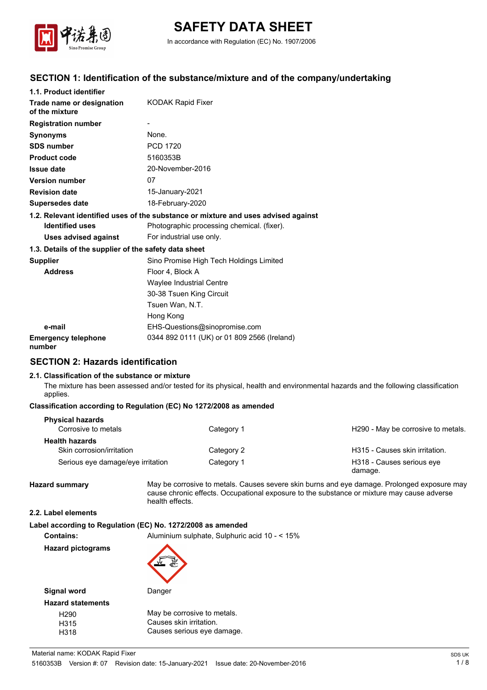

# **SAFETY DATA SHEET**

In accordance with Regulation (EC) No. 1907/2006

# **SECTION 1: Identification of the substance/mixture and of the company/undertaking**

| 1.1. Product identifier                               |                                                                                    |
|-------------------------------------------------------|------------------------------------------------------------------------------------|
| Trade name or designation<br>of the mixture           | KODAK Rapid Fixer                                                                  |
| <b>Registration number</b>                            |                                                                                    |
| <b>Synonyms</b>                                       | None.                                                                              |
| <b>SDS number</b>                                     | <b>PCD 1720</b>                                                                    |
| <b>Product code</b>                                   | 5160353B                                                                           |
| <b>Issue date</b>                                     | 20-November-2016                                                                   |
| <b>Version number</b>                                 | 07                                                                                 |
| <b>Revision date</b>                                  | 15-January-2021                                                                    |
| <b>Supersedes date</b>                                | 18-February-2020                                                                   |
|                                                       | 1.2. Relevant identified uses of the substance or mixture and uses advised against |
| <b>Identified uses</b>                                | Photographic processing chemical. (fixer).                                         |
| Uses advised against                                  | For industrial use only.                                                           |
| 1.3. Details of the supplier of the safety data sheet |                                                                                    |
| <b>Supplier</b>                                       | Sino Promise High Tech Holdings Limited                                            |
| <b>Address</b>                                        | Floor 4, Block A                                                                   |
|                                                       | Waylee Industrial Centre                                                           |
|                                                       | 30-38 Tsuen King Circuit                                                           |
|                                                       | Tsuen Wan, N.T.                                                                    |
|                                                       | Hong Kong                                                                          |
| e-mail                                                | EHS-Questions@sinopromise.com                                                      |
| <b>Emergency telephone</b><br>number                  | 0344 892 0111 (UK) or 01 809 2566 (Ireland)                                        |

# **SECTION 2: Hazards identification**

#### **2.1. Classification of the substance or mixture**

The mixture has been assessed and/or tested for its physical, health and environmental hazards and the following classification applies.

#### **Classification according to Regulation (EC) No 1272/2008 as amended**

| <b>Physical hazards</b><br>Corrosive to metals | Category 1 | H290 - May be corrosive to metals.   |
|------------------------------------------------|------------|--------------------------------------|
| <b>Health hazards</b>                          |            |                                      |
| Skin corrosion/irritation                      | Category 2 | H315 - Causes skin irritation.       |
| Serious eye damage/eye irritation              | Category 1 | H318 - Causes serious eye<br>damage. |

**Hazard summary** May be corrosive to metals. Causes severe skin burns and eye damage. Prolonged exposure may cause chronic effects. Occupational exposure to the substance or mixture may cause adverse health effects.

#### **2.2. Label elements**

|                          | Label according to Regulation (EC) No. 1272/2008 as amended |
|--------------------------|-------------------------------------------------------------|
| <b>Contains:</b>         | Aluminium sulphate, Sulphuric acid 10 - < 15%               |
| <b>Hazard pictograms</b> | <b>ALLEY</b>                                                |

| Signal word              | Danger                      |
|--------------------------|-----------------------------|
| <b>Hazard statements</b> |                             |
| H <sub>290</sub>         | May be corrosive to metals. |
| H315                     | Causes skin irritation.     |
| H318                     | Causes serious eye damage.  |
|                          |                             |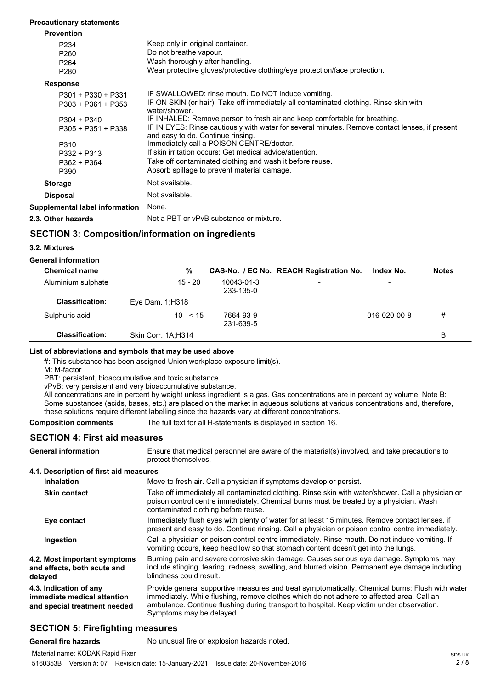#### **Precautionary statements**

| <b>Prevention</b>              |                                                                                                                                     |
|--------------------------------|-------------------------------------------------------------------------------------------------------------------------------------|
| P <sub>234</sub>               | Keep only in original container.                                                                                                    |
| P <sub>260</sub>               | Do not breathe vapour.                                                                                                              |
| P <sub>264</sub>               | Wash thoroughly after handling.                                                                                                     |
| P <sub>280</sub>               | Wear protective gloves/protective clothing/eye protection/face protection.                                                          |
| <b>Response</b>                |                                                                                                                                     |
| $P301 + P330 + P331$           | IF SWALLOWED: rinse mouth. Do NOT induce vomiting.                                                                                  |
| $P303 + P361 + P353$           | IF ON SKIN (or hair): Take off immediately all contaminated clothing. Rinse skin with<br>water/shower.                              |
| $P304 + P340$                  | IF INHALED: Remove person to fresh air and keep comfortable for breathing.                                                          |
| $P305 + P351 + P338$           | IF IN EYES: Rinse cautiously with water for several minutes. Remove contact lenses, if present<br>and easy to do. Continue rinsing. |
| P310                           | Immediately call a POISON CENTRE/doctor.                                                                                            |
| $P332 + P313$                  | If skin irritation occurs: Get medical advice/attention.                                                                            |
| P362 + P364                    | Take off contaminated clothing and wash it before reuse.                                                                            |
| P390                           | Absorb spillage to prevent material damage.                                                                                         |
| <b>Storage</b>                 | Not available.                                                                                                                      |
| <b>Disposal</b>                | Not available.                                                                                                                      |
| Supplemental label information | None.                                                                                                                               |
| 2.3. Other hazards             | Not a PBT or vPvB substance or mixture.                                                                                             |

# **SECTION 3: Composition/information on ingredients**

#### **3.2. Mixtures**

### **General information**

| <b>Chemical name</b>   | %                  |                         | CAS-No. / EC No. REACH Registration No. | Index No.                | <b>Notes</b> |
|------------------------|--------------------|-------------------------|-----------------------------------------|--------------------------|--------------|
| Aluminium sulphate     | $15 - 20$          | 10043-01-3<br>233-135-0 |                                         | $\overline{\phantom{a}}$ |              |
| <b>Classification:</b> | Eye Dam. 1; H318   |                         |                                         |                          |              |
| Sulphuric acid         | $10 - 5 = 15$      | 7664-93-9<br>231-639-5  | -                                       | 016-020-00-8             | #            |
| <b>Classification:</b> | Skin Corr. 1A;H314 |                         |                                         |                          | в            |

### **List of abbreviations and symbols that may be used above**

#: This substance has been assigned Union workplace exposure limit(s).

M: M-factor

PBT: persistent, bioaccumulative and toxic substance.

vPvB: very persistent and very bioaccumulative substance.

All concentrations are in percent by weight unless ingredient is a gas. Gas concentrations are in percent by volume. Note B: Some substances (acids, bases, etc.) are placed on the market in aqueous solutions at various concentrations and, therefore, these solutions require different labelling since the hazards vary at different concentrations.

**Composition comments** The full text for all H-statements is displayed in section 16.

# **SECTION 4: First aid measures**

Ensure that medical personnel are aware of the material(s) involved, and take precautions to protect themselves. **General information 4.1. Description of first aid measures Inhalation** Move to fresh air. Call a physician if symptoms develop or persist. Take off immediately all contaminated clothing. Rinse skin with water/shower. Call a physician or poison control centre immediately. Chemical burns must be treated by a physician. Wash contaminated clothing before reuse. **Skin contact** Immediately flush eyes with plenty of water for at least 15 minutes. Remove contact lenses, if present and easy to do. Continue rinsing. Call a physician or poison control centre immediately. **Eye contact** Call a physician or poison control centre immediately. Rinse mouth. Do not induce vomiting. If vomiting occurs, keep head low so that stomach content doesn't get into the lungs. **Ingestion** Burning pain and severe corrosive skin damage. Causes serious eye damage. Symptoms may include stinging, tearing, redness, swelling, and blurred vision. Permanent eye damage including blindness could result. **4.2. Most important symptoms and effects, both acute and delayed** Provide general supportive measures and treat symptomatically. Chemical burns: Flush with water immediately. While flushing, remove clothes which do not adhere to affected area. Call an ambulance. Continue flushing during transport to hospital. Keep victim under observation. Symptoms may be delayed. **4.3. Indication of any immediate medical attention and special treatment needed**

# **SECTION 5: Firefighting measures**

General fire hazards **No unusual fire or explosion hazards noted.**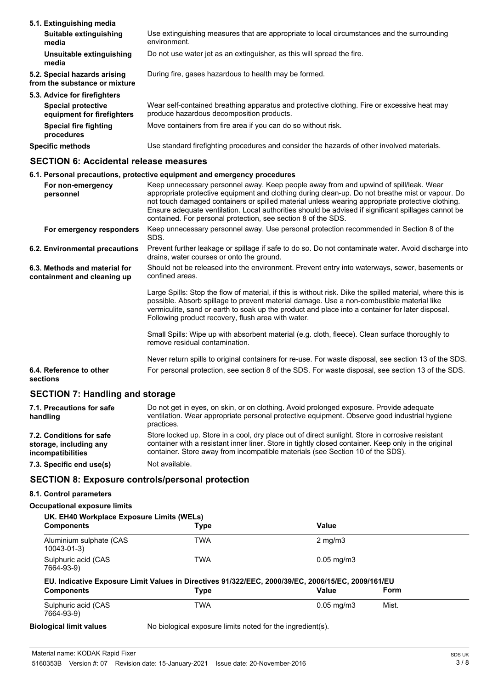| 5.1. Extinguishing media                                      |                                                                                                                                          |
|---------------------------------------------------------------|------------------------------------------------------------------------------------------------------------------------------------------|
| Suitable extinguishing<br>media                               | Use extinguishing measures that are appropriate to local circumstances and the surrounding<br>environment.                               |
| Unsuitable extinguishing<br>media                             | Do not use water jet as an extinguisher, as this will spread the fire.                                                                   |
| 5.2. Special hazards arising<br>from the substance or mixture | During fire, gases hazardous to health may be formed.                                                                                    |
| 5.3. Advice for firefighters                                  |                                                                                                                                          |
| <b>Special protective</b><br>equipment for firefighters       | Wear self-contained breathing apparatus and protective clothing. Fire or excessive heat may<br>produce hazardous decomposition products. |
| Special fire fighting<br>procedures                           | Move containers from fire area if you can do so without risk.                                                                            |
| <b>Specific methods</b>                                       | Use standard firefighting procedures and consider the hazards of other involved materials.                                               |

# **SECTION 6: Accidental release measures**

# **6.1. Personal precautions, protective equipment and emergency procedures**

| For non-emergency<br>personnel                               | Keep unnecessary personnel away. Keep people away from and upwind of spill/leak. Wear<br>appropriate protective equipment and clothing during clean-up. Do not breathe mist or vapour. Do<br>not touch damaged containers or spilled material unless wearing appropriate protective clothing.<br>Ensure adequate ventilation. Local authorities should be advised if significant spillages cannot be<br>contained. For personal protection, see section 8 of the SDS. |
|--------------------------------------------------------------|-----------------------------------------------------------------------------------------------------------------------------------------------------------------------------------------------------------------------------------------------------------------------------------------------------------------------------------------------------------------------------------------------------------------------------------------------------------------------|
| For emergency responders                                     | Keep unnecessary personnel away. Use personal protection recommended in Section 8 of the<br>SDS.                                                                                                                                                                                                                                                                                                                                                                      |
| 6.2. Environmental precautions                               | Prevent further leakage or spillage if safe to do so. Do not contaminate water. Avoid discharge into<br>drains, water courses or onto the ground.                                                                                                                                                                                                                                                                                                                     |
| 6.3. Methods and material for<br>containment and cleaning up | Should not be released into the environment. Prevent entry into waterways, sewer, basements or<br>confined areas.                                                                                                                                                                                                                                                                                                                                                     |
|                                                              | Large Spills: Stop the flow of material, if this is without risk. Dike the spilled material, where this is<br>possible. Absorb spillage to prevent material damage. Use a non-combustible material like<br>vermiculite, sand or earth to soak up the product and place into a container for later disposal.<br>Following product recovery, flush area with water.                                                                                                     |
|                                                              | Small Spills: Wipe up with absorbent material (e.g. cloth, fleece). Clean surface thoroughly to<br>remove residual contamination.                                                                                                                                                                                                                                                                                                                                     |
|                                                              | Never return spills to original containers for re-use. For waste disposal, see section 13 of the SDS.                                                                                                                                                                                                                                                                                                                                                                 |
| 6.4. Reference to other<br>sections                          | For personal protection, see section 8 of the SDS. For waste disposal, see section 13 of the SDS.                                                                                                                                                                                                                                                                                                                                                                     |
| <b>SECTION 7: Handling and storage</b>                       |                                                                                                                                                                                                                                                                                                                                                                                                                                                                       |
| 7.1. Precautions for safe                                    | Do not get in eyes, on skin, or on clothing. Avoid prolonged exposure. Provide adequate                                                                                                                                                                                                                                                                                                                                                                               |

| ventilation. Wear appropriate personal protective equipment. Observe good industrial hygiene<br>practices.                                                                                                                                                                                 |
|--------------------------------------------------------------------------------------------------------------------------------------------------------------------------------------------------------------------------------------------------------------------------------------------|
| Store locked up. Store in a cool, dry place out of direct sunlight. Store in corrosive resistant<br>container with a resistant inner liner. Store in tightly closed container. Keep only in the original<br>container. Store away from incompatible materials (see Section 10 of the SDS). |
| Not available.                                                                                                                                                                                                                                                                             |
|                                                                                                                                                                                                                                                                                            |

# **SECTION 8: Exposure controls/personal protection**

# **8.1. Control parameters**

# **Occupational exposure limits**

| UK. EH40 Workplace Exposure Limits (WELs)<br><b>Components</b> | Type                                                                                               | Value                    |       |  |
|----------------------------------------------------------------|----------------------------------------------------------------------------------------------------|--------------------------|-------|--|
| Aluminium sulphate (CAS<br>$10043 - 01 - 3$                    | <b>TWA</b>                                                                                         | $2 \text{ mg/m}$         |       |  |
| Sulphuric acid (CAS<br>7664-93-9)                              | <b>TWA</b>                                                                                         | $0.05 \,\mathrm{mq/m}$ 3 |       |  |
|                                                                | EU. Indicative Exposure Limit Values in Directives 91/322/EEC, 2000/39/EC, 2006/15/EC, 2009/161/EU |                          |       |  |
| <b>Components</b>                                              | <b>Type</b>                                                                                        | Value                    | Form  |  |
| Sulphuric acid (CAS<br>7664-93-9)                              | <b>TWA</b>                                                                                         | $0.05 \,\mathrm{mq/m}$ 3 | Mist. |  |
|                                                                |                                                                                                    |                          |       |  |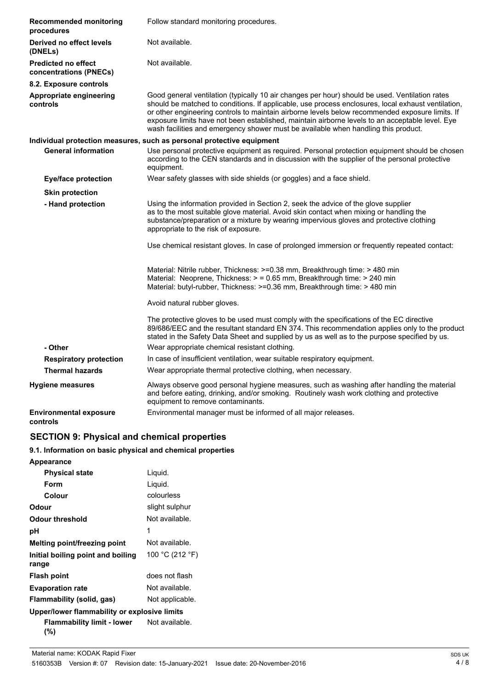| <b>Recommended monitoring</b><br>procedures          | Follow standard monitoring procedures.                                                                                                                                                                                                                                                                                                                                                                                                                                                           |  |  |
|------------------------------------------------------|--------------------------------------------------------------------------------------------------------------------------------------------------------------------------------------------------------------------------------------------------------------------------------------------------------------------------------------------------------------------------------------------------------------------------------------------------------------------------------------------------|--|--|
| Derived no effect levels<br>(DNELs)                  | Not available.                                                                                                                                                                                                                                                                                                                                                                                                                                                                                   |  |  |
| <b>Predicted no effect</b><br>concentrations (PNECs) | Not available.                                                                                                                                                                                                                                                                                                                                                                                                                                                                                   |  |  |
| 8.2. Exposure controls                               |                                                                                                                                                                                                                                                                                                                                                                                                                                                                                                  |  |  |
| Appropriate engineering<br>controls                  | Good general ventilation (typically 10 air changes per hour) should be used. Ventilation rates<br>should be matched to conditions. If applicable, use process enclosures, local exhaust ventilation,<br>or other engineering controls to maintain airborne levels below recommended exposure limits. If<br>exposure limits have not been established, maintain airborne levels to an acceptable level. Eye<br>wash facilities and emergency shower must be available when handling this product. |  |  |
|                                                      | Individual protection measures, such as personal protective equipment                                                                                                                                                                                                                                                                                                                                                                                                                            |  |  |
| <b>General information</b>                           | Use personal protective equipment as required. Personal protection equipment should be chosen<br>according to the CEN standards and in discussion with the supplier of the personal protective<br>equipment.                                                                                                                                                                                                                                                                                     |  |  |
| <b>Eye/face protection</b>                           | Wear safety glasses with side shields (or goggles) and a face shield.                                                                                                                                                                                                                                                                                                                                                                                                                            |  |  |
| <b>Skin protection</b>                               |                                                                                                                                                                                                                                                                                                                                                                                                                                                                                                  |  |  |
| - Hand protection                                    | Using the information provided in Section 2, seek the advice of the glove supplier<br>as to the most suitable glove material. Avoid skin contact when mixing or handling the<br>substance/preparation or a mixture by wearing impervious gloves and protective clothing<br>appropriate to the risk of exposure.                                                                                                                                                                                  |  |  |
|                                                      | Use chemical resistant gloves. In case of prolonged immersion or frequently repeated contact:                                                                                                                                                                                                                                                                                                                                                                                                    |  |  |
|                                                      | Material: Nitrile rubber, Thickness: >=0.38 mm, Breakthrough time: > 480 min<br>Material: Neoprene, Thickness: > = 0.65 mm, Breakthrough time: > 240 min<br>Material: butyl-rubber, Thickness: >=0.36 mm, Breakthrough time: > 480 min                                                                                                                                                                                                                                                           |  |  |
|                                                      | Avoid natural rubber gloves.                                                                                                                                                                                                                                                                                                                                                                                                                                                                     |  |  |
|                                                      | The protective gloves to be used must comply with the specifications of the EC directive<br>89/686/EEC and the resultant standard EN 374. This recommendation applies only to the product<br>stated in the Safety Data Sheet and supplied by us as well as to the purpose specified by us.                                                                                                                                                                                                       |  |  |
| - Other                                              | Wear appropriate chemical resistant clothing.                                                                                                                                                                                                                                                                                                                                                                                                                                                    |  |  |
| <b>Respiratory protection</b>                        | In case of insufficient ventilation, wear suitable respiratory equipment.                                                                                                                                                                                                                                                                                                                                                                                                                        |  |  |
| <b>Thermal hazards</b>                               | Wear appropriate thermal protective clothing, when necessary.                                                                                                                                                                                                                                                                                                                                                                                                                                    |  |  |
| <b>Hygiene measures</b>                              | Always observe good personal hygiene measures, such as washing after handling the material<br>and before eating, drinking, and/or smoking. Routinely wash work clothing and protective<br>equipment to remove contaminants.                                                                                                                                                                                                                                                                      |  |  |
| <b>Environmental exposure</b><br>controls            | Environmental manager must be informed of all major releases.                                                                                                                                                                                                                                                                                                                                                                                                                                    |  |  |

# **SECTION 9: Physical and chemical properties**

# **9.1. Information on basic physical and chemical properties**

| <b>Appearance</b>                            |                 |
|----------------------------------------------|-----------------|
| <b>Physical state</b>                        | Liquid.         |
| Form                                         | Liquid.         |
| Colour                                       | colourless      |
| Odour                                        | slight sulphur  |
| Odour threshold                              | Not available.  |
| рH                                           | 1               |
| Melting point/freezing point                 | Not available.  |
| Initial boiling point and boiling<br>range   | 100 °C (212 °F) |
| <b>Flash point</b>                           | does not flash  |
| <b>Evaporation rate</b>                      | Not available.  |
| Flammability (solid, gas)                    | Not applicable. |
| Upper/lower flammability or explosive limits |                 |
| Flammability limit - lower<br>(%)            | Not available.  |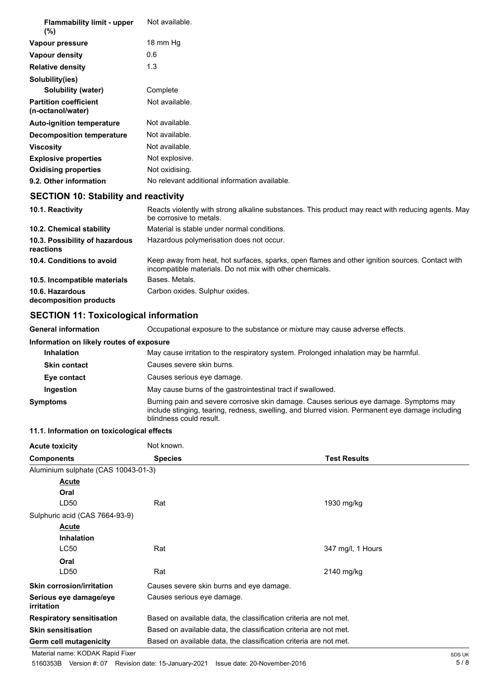| <b>Flammability limit - upper</b><br>$(\%)$       | Not available.                                |
|---------------------------------------------------|-----------------------------------------------|
| Vapour pressure                                   | 18 mm Hg                                      |
| <b>Vapour density</b>                             | 0.6                                           |
| <b>Relative density</b>                           | 1.3                                           |
| Solubility(ies)                                   |                                               |
| <b>Solubility (water)</b>                         | Complete                                      |
| <b>Partition coefficient</b><br>(n-octanol/water) | Not available.                                |
| <b>Auto-ignition temperature</b>                  | Not available.                                |
| <b>Decomposition temperature</b>                  | Not available.                                |
| Viscosity                                         | Not available.                                |
| <b>Explosive properties</b>                       | Not explosive.                                |
| <b>Oxidising properties</b>                       | Not oxidising.                                |
| 9.2. Other information                            | No relevant additional information available. |

# **SECTION 10: Stability and reactivity**

| 10.1. Reactivity                            | Reacts violently with strong alkaline substances. This product may react with reducing agents. May<br>be corrosive to metals.                               |
|---------------------------------------------|-------------------------------------------------------------------------------------------------------------------------------------------------------------|
| 10.2. Chemical stability                    | Material is stable under normal conditions.                                                                                                                 |
| 10.3. Possibility of hazardous<br>reactions | Hazardous polymerisation does not occur.                                                                                                                    |
| 10.4. Conditions to avoid                   | Keep away from heat, hot surfaces, sparks, open flames and other ignition sources. Contact with<br>incompatible materials. Do not mix with other chemicals. |
| 10.5. Incompatible materials                | Bases, Metals.                                                                                                                                              |
| 10.6. Hazardous<br>decomposition products   | Carbon oxides. Sulphur oxides.                                                                                                                              |

# **SECTION 11: Toxicological information**

**General information** Occupational exposure to the substance or mixture may cause adverse effects.

| Information on likely routes of exposure |                                                                                                                                                                                                                       |  |
|------------------------------------------|-----------------------------------------------------------------------------------------------------------------------------------------------------------------------------------------------------------------------|--|
| <b>Inhalation</b>                        | May cause irritation to the respiratory system. Prolonged inhalation may be harmful.                                                                                                                                  |  |
| <b>Skin contact</b>                      | Causes severe skin burns.                                                                                                                                                                                             |  |
| Eye contact                              | Causes serious eye damage.                                                                                                                                                                                            |  |
| Ingestion                                | May cause burns of the gastrointestinal tract if swallowed.                                                                                                                                                           |  |
| Symptoms                                 | Burning pain and severe corrosive skin damage. Causes serious eye damage. Symptoms may<br>include stinging, tearing, redness, swelling, and blurred vision. Permanent eye damage including<br>blindness could result. |  |

# **11.1. Information on toxicological effects**

| <b>Acute toxicity</b>                       | Not known.                 |                                                                   |  |  |
|---------------------------------------------|----------------------------|-------------------------------------------------------------------|--|--|
| <b>Components</b>                           | <b>Species</b>             | <b>Test Results</b>                                               |  |  |
| Aluminium sulphate (CAS 10043-01-3)         |                            |                                                                   |  |  |
| Acute                                       |                            |                                                                   |  |  |
| Oral                                        |                            |                                                                   |  |  |
| LD50                                        | Rat                        | 1930 mg/kg                                                        |  |  |
| Sulphuric acid (CAS 7664-93-9)              |                            |                                                                   |  |  |
| Acute                                       |                            |                                                                   |  |  |
| <b>Inhalation</b>                           |                            |                                                                   |  |  |
| <b>LC50</b>                                 | Rat                        | 347 mg/l, 1 Hours                                                 |  |  |
| Oral                                        |                            |                                                                   |  |  |
| LD <sub>50</sub>                            | Rat                        | 2140 mg/kg                                                        |  |  |
| <b>Skin corrosion/irritation</b>            |                            | Causes severe skin burns and eye damage.                          |  |  |
| Serious eye damage/eye<br><i>irritation</i> | Causes serious eye damage. |                                                                   |  |  |
| <b>Respiratory sensitisation</b>            |                            | Based on available data, the classification criteria are not met. |  |  |
| <b>Skin sensitisation</b>                   |                            | Based on available data, the classification criteria are not met. |  |  |
| Germ cell mutagenicity                      |                            | Based on available data, the classification criteria are not met. |  |  |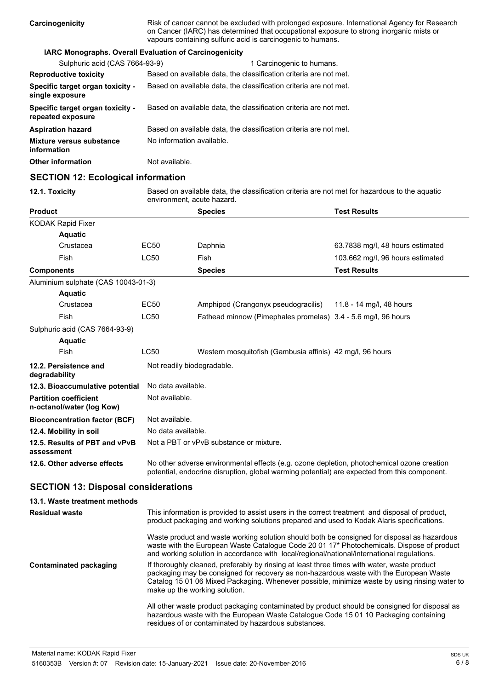| <b>IARC Monographs. Overall Evaluation of Carcinogenicity</b>                                                              |
|----------------------------------------------------------------------------------------------------------------------------|
|                                                                                                                            |
| Sulphuric acid (CAS 7664-93-9)<br>1 Carcinogenic to humans.                                                                |
| Based on available data, the classification criteria are not met.<br><b>Reproductive toxicity</b>                          |
| Specific target organ toxicity -<br>Based on available data, the classification criteria are not met.<br>single exposure   |
| Based on available data, the classification criteria are not met.<br>Specific target organ toxicity -<br>repeated exposure |
| Based on available data, the classification criteria are not met.<br><b>Aspiration hazard</b>                              |
| No information available.<br>Mixture versus substance<br>information                                                       |
| Not available.<br><b>Other information</b>                                                                                 |

# **SECTION 12: Ecological information**

**12.1. Toxicity stace Based on available data, the classification criteria are not met for hazardous to the aquatic** environment, acute hazard.

| <b>Product</b>                                            |                            | <b>Species</b>                                                                                                                                                                             | <b>Test Results</b>              |
|-----------------------------------------------------------|----------------------------|--------------------------------------------------------------------------------------------------------------------------------------------------------------------------------------------|----------------------------------|
| KODAK Rapid Fixer                                         |                            |                                                                                                                                                                                            |                                  |
| <b>Aquatic</b>                                            |                            |                                                                                                                                                                                            |                                  |
| Crustacea                                                 | EC50                       | Daphnia                                                                                                                                                                                    | 63.7838 mg/l, 48 hours estimated |
| Fish                                                      | LC50                       | Fish                                                                                                                                                                                       | 103.662 mg/l, 96 hours estimated |
| <b>Components</b>                                         |                            | <b>Species</b>                                                                                                                                                                             | <b>Test Results</b>              |
| Aluminium sulphate (CAS 10043-01-3)                       |                            |                                                                                                                                                                                            |                                  |
| <b>Aquatic</b>                                            |                            |                                                                                                                                                                                            |                                  |
| Crustacea                                                 | EC50                       | Amphipod (Crangonyx pseudogracilis)                                                                                                                                                        | 11.8 - 14 mg/l, 48 hours         |
| Fish                                                      | <b>LC50</b>                | Fathead minnow (Pimephales promelas) 3.4 - 5.6 mg/l, 96 hours                                                                                                                              |                                  |
| Sulphuric acid (CAS 7664-93-9)                            |                            |                                                                                                                                                                                            |                                  |
| <b>Aquatic</b>                                            |                            |                                                                                                                                                                                            |                                  |
| Fish                                                      | <b>LC50</b>                | Western mosquitofish (Gambusia affinis) 42 mg/l, 96 hours                                                                                                                                  |                                  |
| 12.2. Persistence and<br>degradability                    | Not readily biodegradable. |                                                                                                                                                                                            |                                  |
| 12.3. Bioaccumulative potential                           | No data available.         |                                                                                                                                                                                            |                                  |
| <b>Partition coefficient</b><br>n-octanol/water (log Kow) | Not available.             |                                                                                                                                                                                            |                                  |
| <b>Bioconcentration factor (BCF)</b>                      | Not available.             |                                                                                                                                                                                            |                                  |
| 12.4. Mobility in soil                                    | No data available.         |                                                                                                                                                                                            |                                  |
| 12.5. Results of PBT and vPvB<br>assessment               |                            | Not a PBT or vPvB substance or mixture.                                                                                                                                                    |                                  |
| 12.6. Other adverse effects                               |                            | No other adverse environmental effects (e.g. ozone depletion, photochemical ozone creation<br>potential, endocrine disruption, global warming potential) are expected from this component. |                                  |

# **SECTION 13: Disposal considerations**

| 13.1. Waste treatment methods |                                                                                                                                                                                                                                                                                                                         |
|-------------------------------|-------------------------------------------------------------------------------------------------------------------------------------------------------------------------------------------------------------------------------------------------------------------------------------------------------------------------|
| <b>Residual waste</b>         | This information is provided to assist users in the correct treatment and disposal of product,<br>product packaging and working solutions prepared and used to Kodak Alaris specifications.                                                                                                                             |
|                               | Waste product and waste working solution should both be consigned for disposal as hazardous<br>waste with the European Waste Catalogue Code 20 01 17* Photochemicals. Dispose of product<br>and working solution in accordance with local/regional/national/international regulations.                                  |
| Contaminated packaging        | If thoroughly cleaned, preferably by rinsing at least three times with water, waste product<br>packaging may be consigned for recovery as non-hazardous waste with the European Waste<br>Catalog 15 01 06 Mixed Packaging. Whenever possible, minimize waste by using rinsing water to<br>make up the working solution. |
|                               | All other waste product packaging contaminated by product should be consigned for disposal as<br>hazardous waste with the European Waste Catalogue Code 15 01 10 Packaging containing<br>residues of or contaminated by hazardous substances.                                                                           |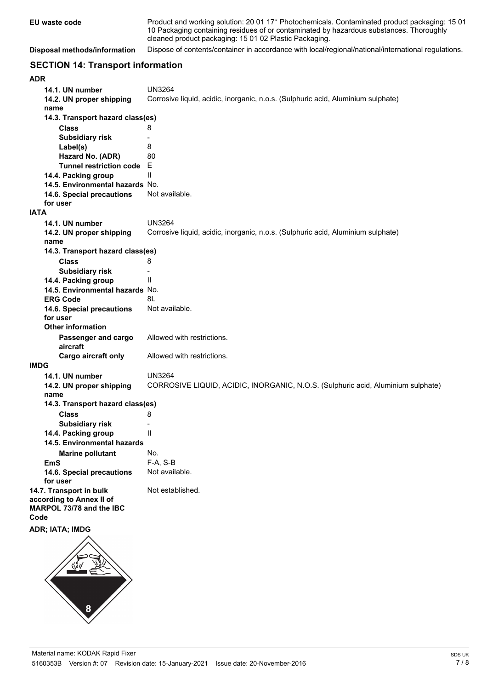| EU waste code                | Product and working solution: 20 01 17 <sup>*</sup> Photochemicals. Contaminated product packaging: 15 01<br>10 Packaging containing residues of or contaminated by hazardous substances. Thoroughly<br>cleaned product packaging: 15 01 02 Plastic Packaging. |
|------------------------------|----------------------------------------------------------------------------------------------------------------------------------------------------------------------------------------------------------------------------------------------------------------|
| Disposal methods/information | Dispose of contents/container in accordance with local/regional/national/international regulations.                                                                                                                                                            |

# **SECTION 14: Transport information**

| ADR                                              |                                                     |                                                                                  |
|--------------------------------------------------|-----------------------------------------------------|----------------------------------------------------------------------------------|
|                                                  | 14.1. UN number                                     | <b>UN3264</b>                                                                    |
|                                                  | 14.2. UN proper shipping                            | Corrosive liquid, acidic, inorganic, n.o.s. (Sulphuric acid, Aluminium sulphate) |
|                                                  | name                                                |                                                                                  |
| 14.3. Transport hazard class(es)                 |                                                     |                                                                                  |
|                                                  | <b>Class</b>                                        | 8                                                                                |
|                                                  | <b>Subsidiary risk</b>                              | $\blacksquare$                                                                   |
|                                                  | Label(s)                                            | 8                                                                                |
|                                                  | Hazard No. (ADR)                                    | 80                                                                               |
|                                                  | <b>Tunnel restriction code</b>                      | E                                                                                |
|                                                  | 14.4. Packing group                                 | Ш                                                                                |
|                                                  | 14.5. Environmental hazards No.                     |                                                                                  |
|                                                  | 14.6. Special precautions                           | Not available.                                                                   |
|                                                  | for user                                            |                                                                                  |
| <b>IATA</b>                                      |                                                     |                                                                                  |
|                                                  | 14.1. UN number                                     | <b>UN3264</b>                                                                    |
|                                                  | 14.2. UN proper shipping                            | Corrosive liquid, acidic, inorganic, n.o.s. (Sulphuric acid, Aluminium sulphate) |
|                                                  | name                                                |                                                                                  |
|                                                  | 14.3. Transport hazard class(es)                    |                                                                                  |
|                                                  | <b>Class</b>                                        | 8                                                                                |
|                                                  | <b>Subsidiary risk</b>                              | $\overline{a}$                                                                   |
|                                                  | 14.4. Packing group                                 | Ш                                                                                |
|                                                  | 14.5. Environmental hazards No.                     |                                                                                  |
|                                                  | <b>ERG Code</b>                                     | 8L                                                                               |
|                                                  | 14.6. Special precautions                           | Not available.                                                                   |
|                                                  | for user                                            |                                                                                  |
|                                                  | <b>Other information</b>                            |                                                                                  |
|                                                  |                                                     | Allowed with restrictions.                                                       |
|                                                  | Passenger and cargo<br>aircraft                     |                                                                                  |
|                                                  | Cargo aircraft only                                 | Allowed with restrictions.                                                       |
| <b>IMDG</b>                                      |                                                     |                                                                                  |
|                                                  | 14.1. UN number                                     | <b>UN3264</b>                                                                    |
|                                                  | 14.2. UN proper shipping                            | CORROSIVE LIQUID, ACIDIC, INORGANIC, N.O.S. (Sulphuric acid, Aluminium sulphate) |
|                                                  | name                                                |                                                                                  |
|                                                  |                                                     |                                                                                  |
| 14.3. Transport hazard class(es)<br><b>Class</b> |                                                     | 8                                                                                |
|                                                  |                                                     |                                                                                  |
|                                                  | <b>Subsidiary risk</b><br>14.4. Packing group       | $\overline{a}$<br>Ш                                                              |
|                                                  |                                                     |                                                                                  |
|                                                  | 14.5. Environmental hazards                         |                                                                                  |
|                                                  | <b>Marine pollutant</b>                             | No.                                                                              |
|                                                  | <b>EmS</b>                                          | F-A, S-B                                                                         |
|                                                  | 14.6. Special precautions                           | Not available.                                                                   |
|                                                  | for user                                            | Not established.                                                                 |
|                                                  | 14.7. Transport in bulk<br>according to Annex II of |                                                                                  |
|                                                  | MARPOL 73/78 and the IBC                            |                                                                                  |
| Code                                             |                                                     |                                                                                  |
|                                                  | ADR; IATA; IMDG                                     |                                                                                  |
|                                                  |                                                     |                                                                                  |
|                                                  |                                                     |                                                                                  |
|                                                  |                                                     |                                                                                  |
|                                                  |                                                     |                                                                                  |
|                                                  |                                                     |                                                                                  |
|                                                  |                                                     |                                                                                  |

8